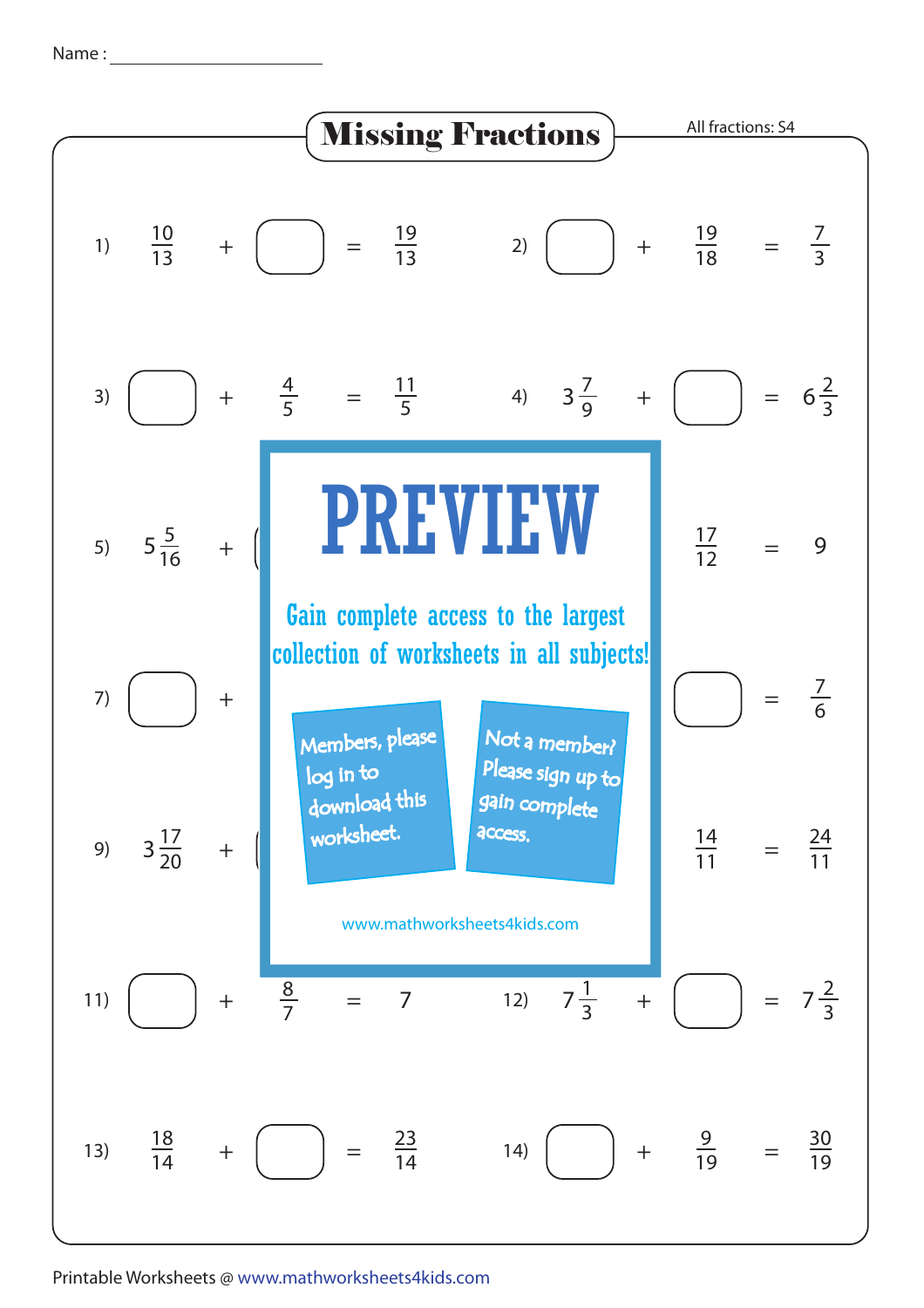